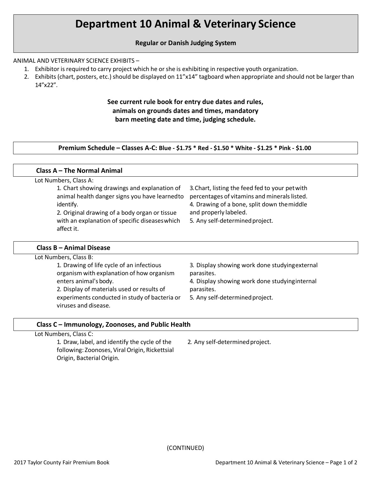# **Department 10 Animal & Veterinary Science**

# **Regular or Danish Judging System**

### ANIMAL AND VETERINARY SCIENCE EXHIBITS –

- 1. Exhibitor is required to carry project which he orshe is exhibiting in respective youth organization.
- 2. Exhibits (chart, posters, etc.) should be displayed on 11"x14" tagboard when appropriate and should not be larger than 14"x22".

# **See current rule book for entry due dates and rules, animals on grounds dates and times, mandatory barn meeting date and time, judging schedule.**

#### **Premium Schedule – Classes A-C: Blue - \$1.75 \* Red - \$1.50 \* White - \$1.25 \* Pink - \$1.00**

| Class A - The Normal Animal                                                                                                                                                                                |  |
|------------------------------------------------------------------------------------------------------------------------------------------------------------------------------------------------------------|--|
|                                                                                                                                                                                                            |  |
| 3. Chart, listing the feed fed to your pet with<br>percentages of vitamins and minerals listed.<br>4. Drawing of a bone, split down the middle<br>and properly labeled.<br>5. Any self-determined project. |  |
|                                                                                                                                                                                                            |  |

#### **Class B – Animal Disease**

| Lot Numbers, Class B:                                                                  |                                                              |
|----------------------------------------------------------------------------------------|--------------------------------------------------------------|
| 1. Drawing of life cycle of an infectious<br>organism with explanation of how organism | 3. Display showing work done studying external<br>parasites. |
| enters animal's body.                                                                  | 4. Display showing work done studying internal               |
| 2. Display of materials used or results of                                             | parasites.                                                   |
| experiments conducted in study of bacteria or<br>viruses and disease.                  | 5. Any self-determined project.                              |
|                                                                                        |                                                              |

#### **Class C – Immunology, Zoonoses, and Public Health**

Lot Numbers, Class C:

1. Draw, label, and identify the cycle of the following: Zoonoses, ViralOrigin, Rickettsial Origin, Bacterial Origin.

2. Any self-determined project.